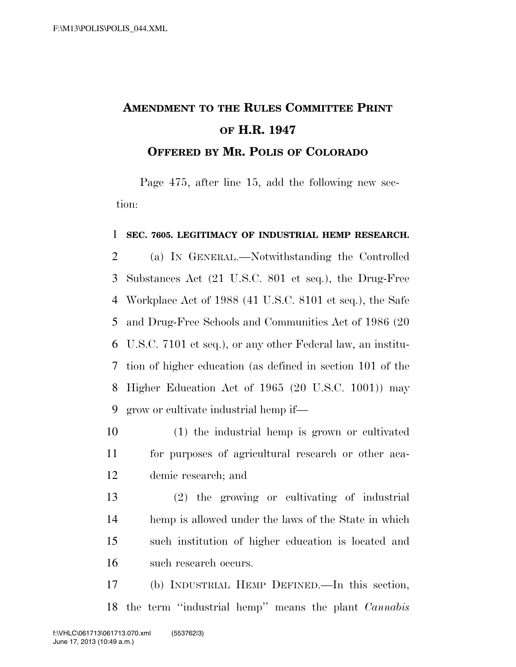## **AMENDMENT TO THE RULES COMMITTEE PRINT OF H.R. 1947 OFFERED BY MR. POLIS OF COLORADO**

Page 475, after line 15, add the following new section:

## **SEC. 7605. LEGITIMACY OF INDUSTRIAL HEMP RESEARCH.**

 (a) IN GENERAL.—Notwithstanding the Controlled Substances Act (21 U.S.C. 801 et seq.), the Drug-Free Workplace Act of 1988 (41 U.S.C. 8101 et seq.), the Safe and Drug-Free Schools and Communities Act of 1986 (20 U.S.C. 7101 et seq.), or any other Federal law, an institu- tion of higher education (as defined in section 101 of the Higher Education Act of 1965 (20 U.S.C. 1001)) may grow or cultivate industrial hemp if—

- (1) the industrial hemp is grown or cultivated for purposes of agricultural research or other aca-demic research; and
- (2) the growing or cultivating of industrial hemp is allowed under the laws of the State in which such institution of higher education is located and such research occurs.
- (b) INDUSTRIAL HEMP DEFINED.—In this section, the term ''industrial hemp'' means the plant *Cannabis*